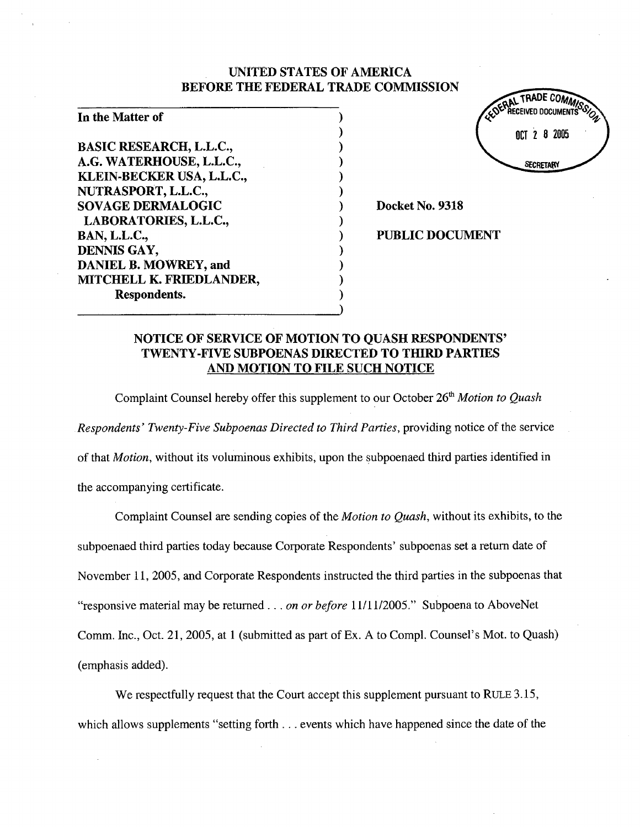## UNITED STATES OF AMERICA BEFORE THE FEDERAL TRADE COMMISSION

) ) ) ) ) ) ) ) ) ) ) ) )

| In the Matter of               |  |
|--------------------------------|--|
|                                |  |
| <b>BASIC RESEARCH, L.L.C.,</b> |  |
| A.G. WATERHOUSE, L.L.C.,       |  |
| KLEIN-BECKER USA, L.L.C.,      |  |
| NUTRASPORT, L.L.C.,            |  |
| <b>SOVAGE DERMALOGIC</b>       |  |
| LABORATORIES, L.L.C.,          |  |
| <b>BAN, L.L.C.,</b>            |  |
| DENNIS GAY,                    |  |
| DANIEL B. MOWREY, and          |  |
| MITCHELL K. FRIEDLANDER,       |  |
| Respondents.                   |  |



Docket No. 9318

PUBLIC DOCUMENT

# NOTICE OF SERVICE OF MOTION TO QUASH RESPONDENTS' TWENTY -FIVE SUBPOENAS DIRECTED TO THIRD PARTIES AND MOTION TO FILE SUCH NOTICE

Complaint Counsel hereby offer this supplement to our October 26<sup>th</sup> Motion to Quash Respondents' Twenty-Five Subpoenas Directed to Third Parties, providing notice of the service of that Motion, without its voluminous exhibits, upon the subpoenaed third paries identified in the accompanying certificate.

Complaint Counsel are sending copies of the *Motion to Quash*, without its exhibits, to the subpoenaed third paries today because Corporate Respondents' subpoenas set a return date of November 11, 2005, and Corporate Respondents instructed the third parties in the subpoenas that "responsive material may be returned  $\ldots$  on or before 11/11/2005." Subpoena to AboveNet Comm. Inc., Oct. 21, 2005, at 1 (submitted as part of Ex. A to CompI. Counsel's Mot. to Quash) (emphasis added).

We respectfully request that the Court accept this supplement pursuant to RULE 3.15, which allows supplements "setting forth . . . events which have happened since the date of the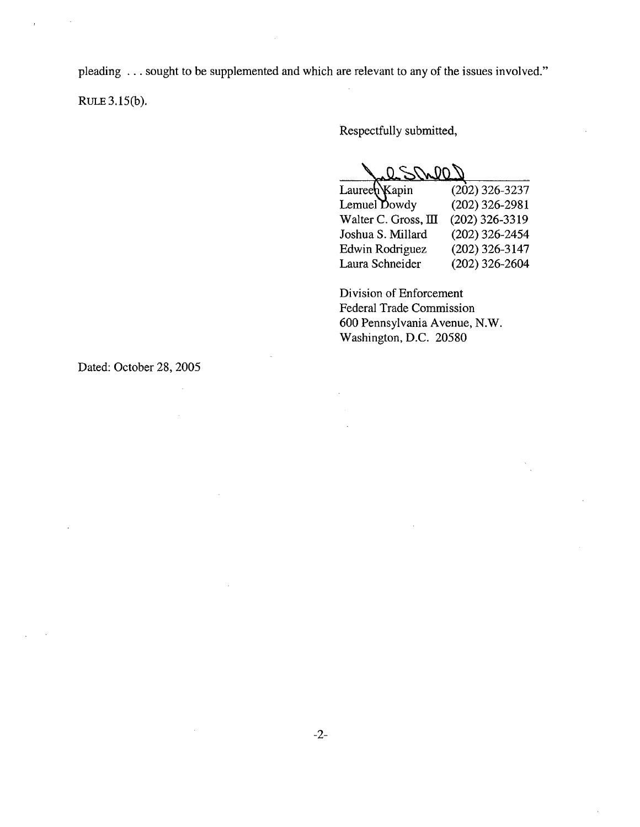pleading ... sought to be supplemented and which are relevant to any of the issues involved."

RULE  $3.15(b)$ .

Respectfully submitted,

COLAR S

| $(202)$ 326-3237 |
|------------------|
| $(202)$ 326-2981 |
| $(202)$ 326-3319 |
| $(202)$ 326-2454 |
| $(202)$ 326-3147 |
| $(202)$ 326-2604 |
|                  |

Division of Enforcement Federal Trade Commission 600 Pennsylvania Avenue, N.W. Washington, D.C. 20580

Dated: October 28, 2005

 $\bar{z}$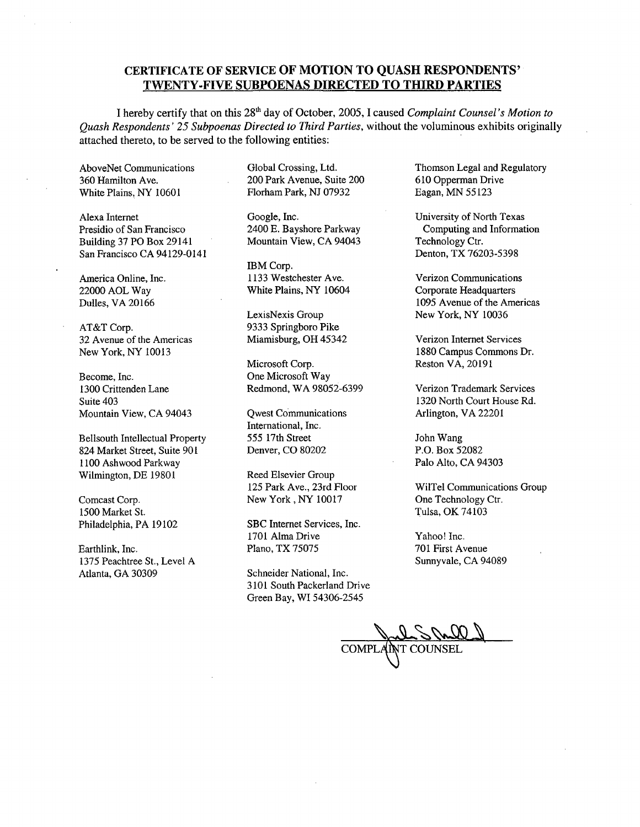### CERTIFICA TE OF SERVICE OF MOTION TO QUASH RESPONDENTS' TWENTY-FIVE SUBPOENAS DIRECTED TO THIRD PARTIES

I hereby certify that on this 28<sup>th</sup> day of October, 2005, I caused *Complaint Counsel's Motion to* Quash Respondents' 25 Subpoenas Directed to Third Parties, without the voluminous exhibits originally attached thereto, to be served to the following entities:

AboveNet Communications 360 Hamilton Ave. White Plains, NY 10601

Alexa Internet Presidio of San Francisco Building 37 PO Box 29141 San Francisco CA 94129-0141

America Online, Inc. 22000 AOL Way Dulles, VA 20166

AT&T Corp. 32 A venue of the Americas New York, NY 10013

Become, Inc. 1300 Crittenden Lane Suite 403 Mountain View, CA 94043

Bellsouth Intellectual Property 824 Market Street, Suite 901 1100 Ashwood Parkway Wilmington, DE 19801

Comcast Corp. 1500 Market St. Philadelphia, PA 19102

Earthlink, Inc. 1375 Peachtree St., Level A Atlanta, GA 30309

Global Crossing, Ltd. 200 Park A venue, Suite 200 Florham Park, NJ 07932

Google, Inc. 2400 E. Bayshore Parkway Mountain View, CA 94043

IBM Corp. 1133 Westchester Ave. White Plains, NY 10604

LexisNexis Group 9333 Springboro Pike Miamisburg, OH 45342 Verizon Internet Services

Microsoft Corp. One Microsoft Way Redmond, WA 98052-6399 Verizon Trademark Services

Qwest COmmunications International, Inc. 555 17th Street Denver, CO 80202

Reed Elsevier Group 125 Park Ave., 23rd Floor New York, NY 10017

SBC Internet Services, Inc. 1701 Alma Drive Plano, TX 75075

Schneider National, Inc. 3101 South Packerland Drive Green Bay, WI 54306-2545

Thomson Legal and Regulatory 610 Opperman Dri ve Eagan, MN 55123

University of North Texas Computing and Information Technology Ctr. Denton, TX 76203-5398

Verizon Communications Corporate Headquarters 1095 Avenue of the Americas New York, NY 10036

1880 Campus Commons Dr. Reston VA, 20191

i 320 North Court House Rd. Arlington, VA 22201

John Wang P.O. Box 52082 Palo Alto, CA 94303

WilTel Communications Group One Technology Ctr. Tulsa, OK 74103

Yahoo! Inc. 701 First Avenue Sunnyvale, CA 94089

COMPLANT COUNSEL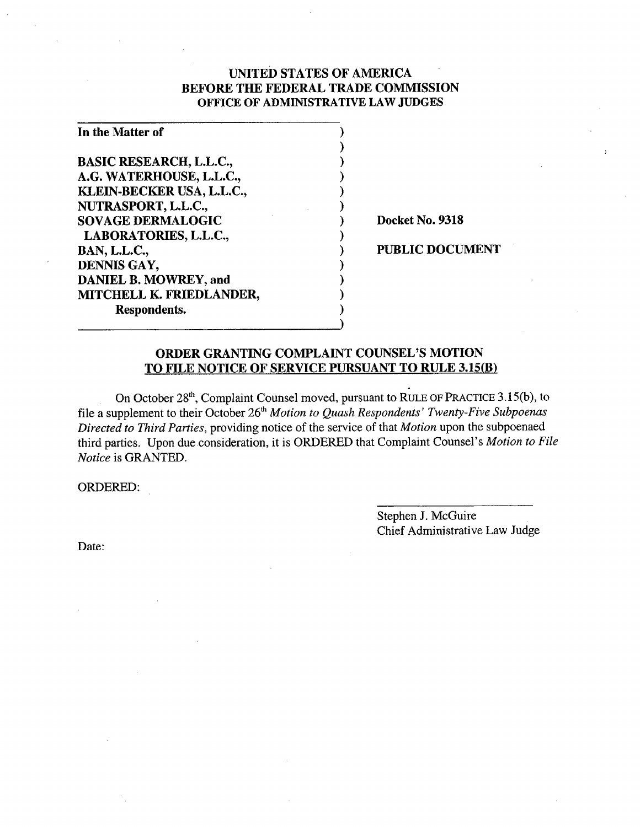## UNTED STATES OF AMERICA BEFORE THE FEDERAL TRADE COMMSSION OFFICE OF ADMINISTRATIVE LAW JUDGES

) ) ) ) ) ) ) ) ) ) ) ) )

| In the Matter of               |  |
|--------------------------------|--|
|                                |  |
| <b>BASIC RESEARCH, L.L.C.,</b> |  |
| A.G. WATERHOUSE, L.L.C.,       |  |
| KLEIN-BECKER USA, L.L.C.,      |  |
| NUTRASPORT, L.L.C.,            |  |
| <b>SOVAGE DERMALOGIC</b>       |  |
| LABORATORIES, L.L.C.,          |  |
| <b>BAN, L.L.C.,</b>            |  |
| DENNIS GAY,                    |  |
| DANIEL B. MOWREY, and          |  |
| MITCHELL K. FRIEDLANDER,       |  |
| Respondents.                   |  |

Docket No. 9318

PUBLIC DOCUMENT

## ORDER GRANTING COMPLAINT COUNSEL'S MOTION TO FILE NOTICE OF SERVICE PURSUANT TO RULE 3.15(B)

On October 28<sup>th</sup>, Complaint Counsel moved, pursuant to RULE OF PRACTICE 3.15(b), to file a supplement to their October 26<sup>th</sup> Motion to Quash Respondents' Twenty-Five Subpoenas Directed to Third Parties, providing notice of the service of that Motion upon the subpoenaed third parties. Upon due consideration, it is ORDERED that Complaint Counsel's Motion to File Notice is GRANTED.

ORDERED:

Stephen J. McGuire Chief Administrative Law Judge

Date: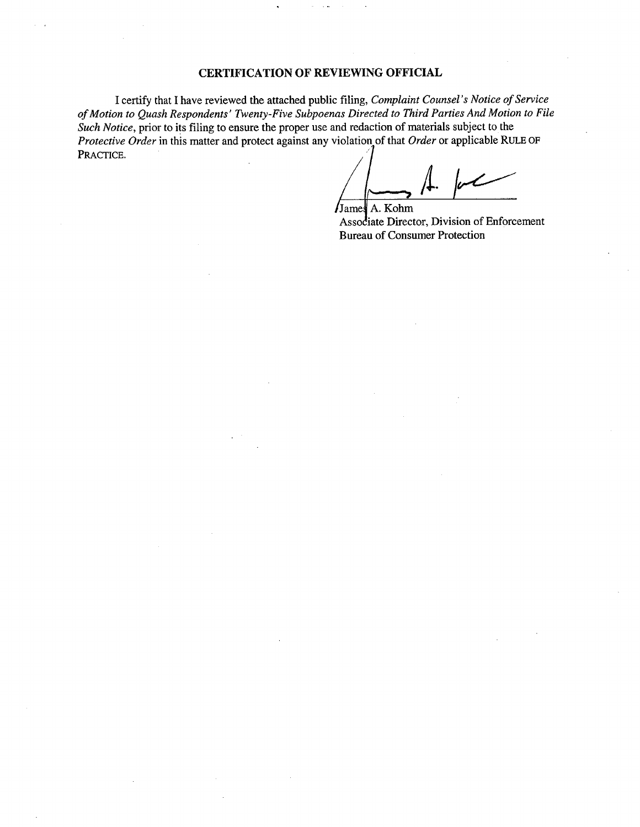#### CERTIFICA TION OF REVIEWING OFFICIAL

I certify that I have reviewed the attached public filing, Complaint Counsel's Notice of Service of Motion to Quash Respondents' Twenty-Five Subpoenas Directed to Third Parties And Motion to File<br>Such Notice, prior to its filing to ensure the proper use and redaction of materials subject to the Protective Order in this matter and protect against any violation of that Order or applicable RULE OF PRACTICE.

/<del>L</del>. James A. Kohm

Associate Director, Division of Enforcement Bureau of Consumer Protection